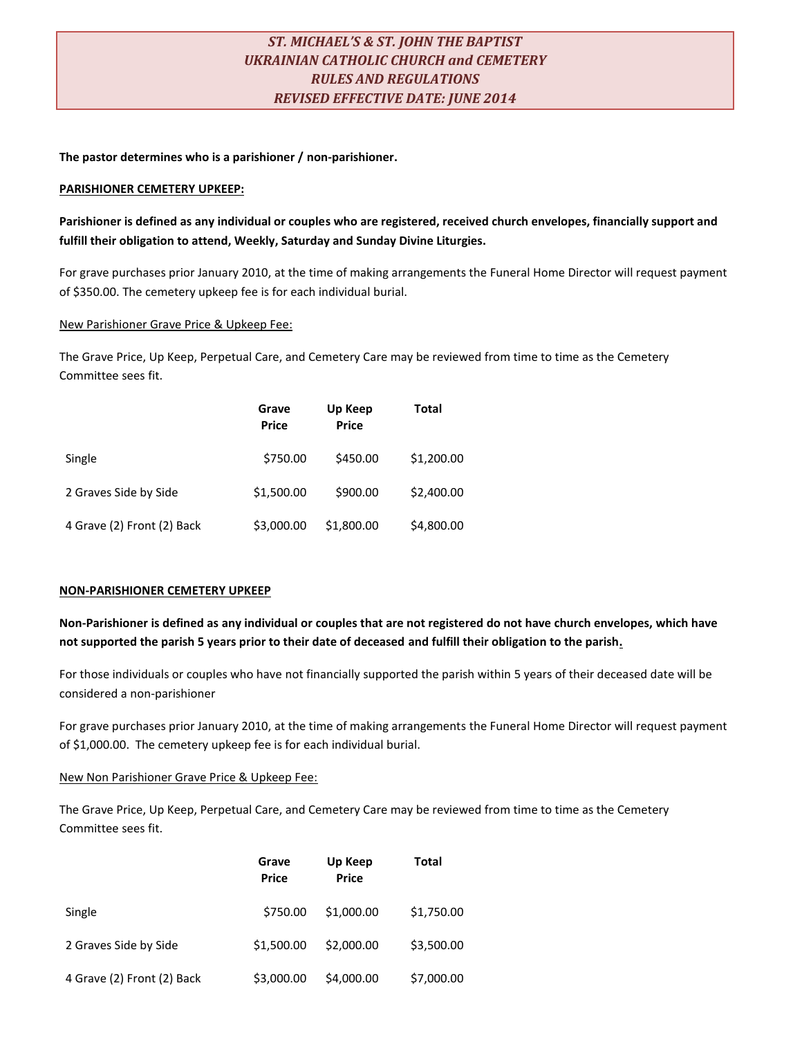# *ST. MICHAEL'S & ST. JOHN THE BAPTIST UKRAINIAN CATHOLIC CHURCH and CEMETERY RULES AND REGULATIONS REVISED EFFECTIVE DATE: JUNE 2014*

**The pastor determines who is a parishioner / non-parishioner.**

## **PARISHIONER CEMETERY UPKEEP:**

## **Parishioner is defined as any individual or couples who are registered, received church envelopes, financially support and fulfill their obligation to attend, Weekly, Saturday and Sunday Divine Liturgies.**

For grave purchases prior January 2010, at the time of making arrangements the Funeral Home Director will request payment of \$350.00. The cemetery upkeep fee is for each individual burial.

## New Parishioner Grave Price & Upkeep Fee:

The Grave Price, Up Keep, Perpetual Care, and Cemetery Care may be reviewed from time to time as the Cemetery Committee sees fit.

|                            | Grave<br><b>Price</b> | Up Keep<br><b>Price</b> | Total      |
|----------------------------|-----------------------|-------------------------|------------|
| Single                     | \$750.00              | \$450.00                | \$1,200.00 |
| 2 Graves Side by Side      | \$1,500.00            | \$900.00                | \$2,400.00 |
| 4 Grave (2) Front (2) Back | \$3,000.00            | \$1,800.00              | \$4,800.00 |

## **NON-PARISHIONER CEMETERY UPKEEP**

**Non-Parishioner is defined as any individual or couples that are not registered do not have church envelopes, which have not supported the parish 5 years prior to their date of deceased and fulfill their obligation to the parish.**

For those individuals or couples who have not financially supported the parish within 5 years of their deceased date will be considered a non-parishioner

For grave purchases prior January 2010, at the time of making arrangements the Funeral Home Director will request payment of \$1,000.00. The cemetery upkeep fee is for each individual burial.

## New Non Parishioner Grave Price & Upkeep Fee:

The Grave Price, Up Keep, Perpetual Care, and Cemetery Care may be reviewed from time to time as the Cemetery Committee sees fit.

|                            | Grave<br><b>Price</b> | Up Keep<br><b>Price</b> | Total      |
|----------------------------|-----------------------|-------------------------|------------|
| Single                     | \$750.00              | \$1,000.00              | \$1,750.00 |
| 2 Graves Side by Side      | \$1,500.00            | \$2,000.00              | \$3,500.00 |
| 4 Grave (2) Front (2) Back | \$3,000.00            | \$4,000.00              | \$7,000.00 |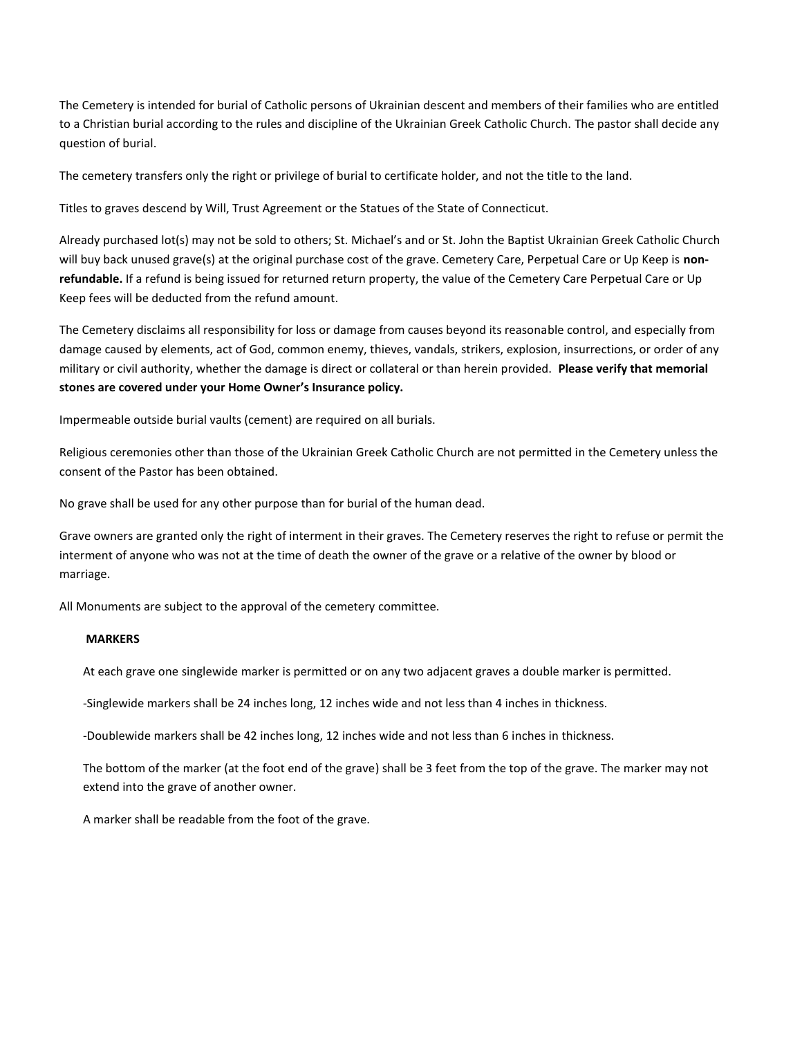The Cemetery is intended for burial of Catholic persons of Ukrainian descent and members of their families who are entitled to a Christian burial according to the rules and discipline of the Ukrainian Greek Catholic Church. The pastor shall decide any question of burial.

The cemetery transfers only the right or privilege of burial to certificate holder, and not the title to the land.

Titles to graves descend by Will, Trust Agreement or the Statues of the State of Connecticut.

Already purchased lot(s) may not be sold to others; St. Michael's and or St. John the Baptist Ukrainian Greek Catholic Church will buy back unused grave(s) at the original purchase cost of the grave. Cemetery Care, Perpetual Care or Up Keep is **nonrefundable.** If a refund is being issued for returned return property, the value of the Cemetery Care Perpetual Care or Up Keep fees will be deducted from the refund amount.

The Cemetery disclaims all responsibility for loss or damage from causes beyond its reasonable control, and especially from damage caused by elements, act of God, common enemy, thieves, vandals, strikers, explosion, insurrections, or order of any military or civil authority, whether the damage is direct or collateral or than herein provided. **Please verify that memorial stones are covered under your Home Owner's Insurance policy.**

Impermeable outside burial vaults (cement) are required on all burials.

Religious ceremonies other than those of the Ukrainian Greek Catholic Church are not permitted in the Cemetery unless the consent of the Pastor has been obtained.

No grave shall be used for any other purpose than for burial of the human dead.

Grave owners are granted only the right of interment in their graves. The Cemetery reserves the right to refuse or permit the interment of anyone who was not at the time of death the owner of the grave or a relative of the owner by blood or marriage.

All Monuments are subject to the approval of the cemetery committee.

#### **MARKERS**

At each grave one singlewide marker is permitted or on any two adjacent graves a double marker is permitted.

-Singlewide markers shall be 24 inches long, 12 inches wide and not less than 4 inches in thickness.

-Doublewide markers shall be 42 inches long, 12 inches wide and not less than 6 inches in thickness.

The bottom of the marker (at the foot end of the grave) shall be 3 feet from the top of the grave. The marker may not extend into the grave of another owner.

A marker shall be readable from the foot of the grave.